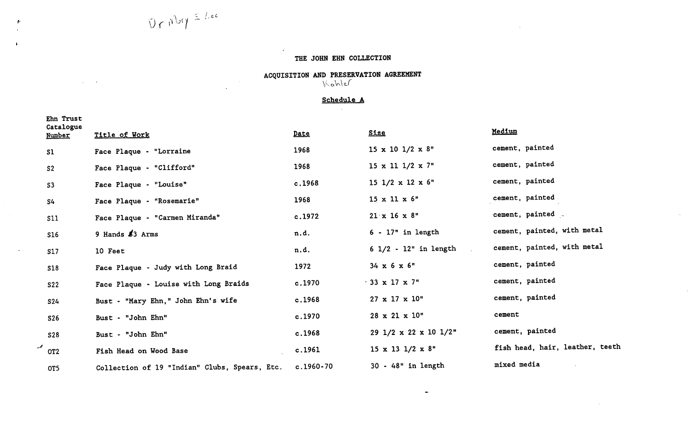## THE JOHN EHN COLLECTION

 $\mathcal{L}$ 

 $0 < M_{\text{ref}} \leq L_{\text{ref}}$ 

 $\bullet$ 

 $\mathbf{A}$ 

 $\mathcal{L}^{\text{max}}$ 

**Contract Contract Contract Contract** 

шa.

## ACQUISITION AND PRESERVATION AGREEMENT  $N$ o $\nu$ rel

## Schedule A  $\sim 10^7$

| Ehn Trust<br>Catalogue<br>Number | Title of Work                                 | Date          | Size                                       | Medium                          |
|----------------------------------|-----------------------------------------------|---------------|--------------------------------------------|---------------------------------|
| S1                               | Face Plaque - "Lorraine                       | 1968          | $15 \times 10$ 1/2 $\times$ 8 <sup>°</sup> | cement, painted                 |
| S <sub>2</sub>                   | Face Plaque - "Clifford"                      | 1968          | $15 \times 11$ $1/2 \times 7$ "            | cement, painted                 |
| S <sub>3</sub>                   | Face Plaque - "Louise"                        | c.1968        | 15 $1/2$ x 12 x 6"                         | cement, painted                 |
| <b>S4</b>                        | Face Plaque - "Rosemarie"                     | 1968          | $15 \times 11 \times 6$ "                  | cement, painted                 |
| S11                              | Face Plaque - "Carmen Miranda"                | c.1972        | $21 \times 16 \times 8$ "                  | cement, painted.                |
| S16                              | 9 Hands $\cancel{3}$ Arms                     | n.d.          | $6 - 17$ " in length                       | cement, painted, with metal     |
| S17                              | 10 Feet                                       | n.d.          | $6 \frac{1}{2} - 12$ " in length           | cement, painted, with metal     |
| <b>S18</b>                       | Face Plaque - Judy with Long Braid            | 1972          | $34 \times 6 \times 6$ "                   | cement, painted                 |
| S22                              | Face Plaque - Louise with Long Braids         | c.1970        | $.33 \times 17 \times 7$ "                 | cement, painted                 |
| S24                              | Bust - "Mary Ehn," John Ehn's wife            | c.1968        | $27 \times 17 \times 10$ "                 | cement, painted                 |
| <b>S26</b>                       | Bust - "John Ehn"                             | c.1970        | 28 x 21 x 10"                              | cement                          |
| <b>S28</b>                       | Bust - "John Ehn"                             | c.1968        | $29$ 1/2 x 22 x 10 1/2"                    | cement, painted                 |
| مجر<br>OT <sub>2</sub>           | Fish Head on Wood Base                        | c.1961        | $15 \times 13$ $1/2 \times 8$ "            | fish head, hair, leather, teeth |
| OT5                              | Collection of 19 "Indian" Clubs, Spears, Etc. | $c.1960 - 70$ | $30 - 48$ " in length                      | mixed media                     |

 $\leftarrow$ 

 $\sim$